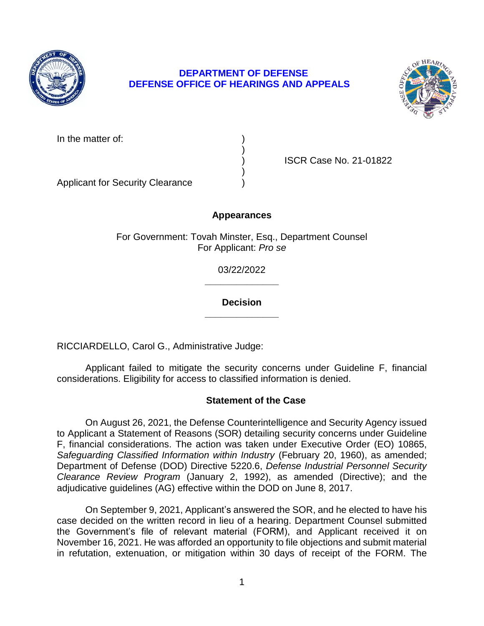

# **DEPARTMENT OF DEFENSE DEFENSE OFFICE OF HEARINGS AND APPEALS**



| In the matter of: |  |
|-------------------|--|
|-------------------|--|

) ISCR Case No. 21-01822

Applicant for Security Clearance )

# **Appearances**

)

)

For Government: Tovah Minster, Esq., Department Counsel For Applicant: *Pro se* 

> **\_\_\_\_\_\_\_\_\_\_\_\_\_\_**  03/22/2022

#### **\_\_\_\_\_\_\_\_\_\_\_\_\_\_ Decision**

RICCIARDELLO, Carol G., Administrative Judge:

 Applicant failed to mitigate the security concerns under Guideline F, financial considerations. Eligibility for access to classified information is denied.

### **Statement of the Case**

 On August 26, 2021, the Defense Counterintelligence and Security Agency issued to Applicant a Statement of Reasons (SOR) detailing security concerns under Guideline F, financial considerations. The action was taken under Executive Order (EO) 10865, Safeguarding Classified Information within Industry (February 20, 1960), as amended; Department of Defense (DOD) Directive 5220.6, *Defense Industrial Personnel Security Clearance Review Program* (January 2, 1992), as amended (Directive); and the adjudicative guidelines (AG) effective within the DOD on June 8, 2017.

 On September 9, 2021, Applicant's answered the SOR, and he elected to have his case decided on the written record in lieu of a hearing. Department Counsel submitted November 16, 2021. He was afforded an opportunity to file objections and submit material in refutation, extenuation, or mitigation within 30 days of receipt of the FORM. The the Government's file of relevant material (FORM), and Applicant received it on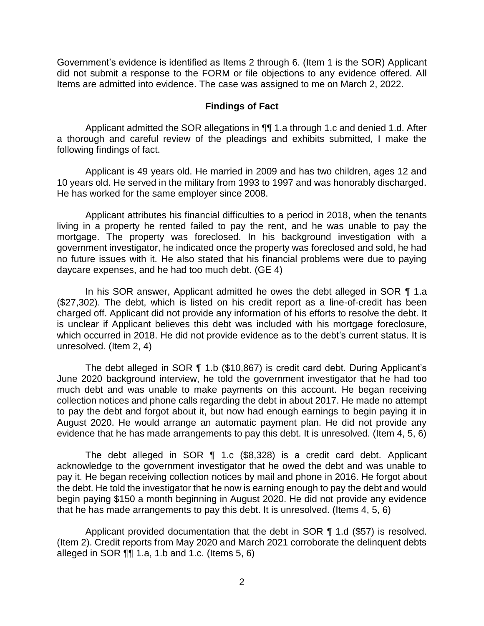Government's evidence is identified as Items 2 through 6. (Item 1 is the SOR) Applicant did not submit a response to the FORM or file objections to any evidence offered. All Items are admitted into evidence. The case was assigned to me on March 2, 2022.

#### **Findings of Fact**

Applicant admitted the SOR allegations in  $\P\P$  1.a through 1.c and denied 1.d. After a thorough and careful review of the pleadings and exhibits submitted, I make the following findings of fact.

 Applicant is 49 years old. He married in 2009 and has two children, ages 12 and 10 years old. He served in the military from 1993 to 1997 and was honorably discharged. He has worked for the same employer since 2008.

 living in a property he rented failed to pay the rent, and he was unable to pay the mortgage. The property was foreclosed. In his background investigation with a government investigator, he indicated once the property was foreclosed and sold, he had no future issues with it. He also stated that his financial problems were due to paying daycare expenses, and he had too much debt. (GE 4) Applicant attributes his financial difficulties to a period in 2018, when the tenants

 In his SOR answer, Applicant admitted he owes the debt alleged in SOR ¶ 1.a (\$27,302). The debt, which is listed on his credit report as a line-of-credit has been is unclear if Applicant believes this debt was included with his mortgage foreclosure, which occurred in 2018. He did not provide evidence as to the debt's current status. It is charged off. Applicant did not provide any information of his efforts to resolve the debt. It unresolved. (Item 2, 4)

 The debt alleged in SOR ¶ 1.b (\$10,867) is credit card debt. During Applicant's June 2020 background interview, he told the government investigator that he had too much debt and was unable to make payments on this account. He began receiving collection notices and phone calls regarding the debt in about 2017. He made no attempt to pay the debt and forgot about it, but now had enough earnings to begin paying it in August 2020. He would arrange an automatic payment plan. He did not provide any evidence that he has made arrangements to pay this debt. It is unresolved. (Item 4, 5, 6)

 The debt alleged in SOR ¶ 1.c (\$8,328) is a credit card debt. Applicant acknowledge to the government investigator that he owed the debt and was unable to pay it. He began receiving collection notices by mail and phone in 2016. He forgot about the debt. He told the investigator that he now is earning enough to pay the debt and would begin paying \$150 a month beginning in August 2020. He did not provide any evidence that he has made arrangements to pay this debt. It is unresolved. (Items 4, 5, 6)

 Applicant provided documentation that the debt in SOR ¶ 1.d (\$57) is resolved. (Item 2). Credit reports from May 2020 and March 2021 corroborate the delinquent debts alleged in SOR  $\P\P$  1.a, 1.b and 1.c. (Items 5, 6)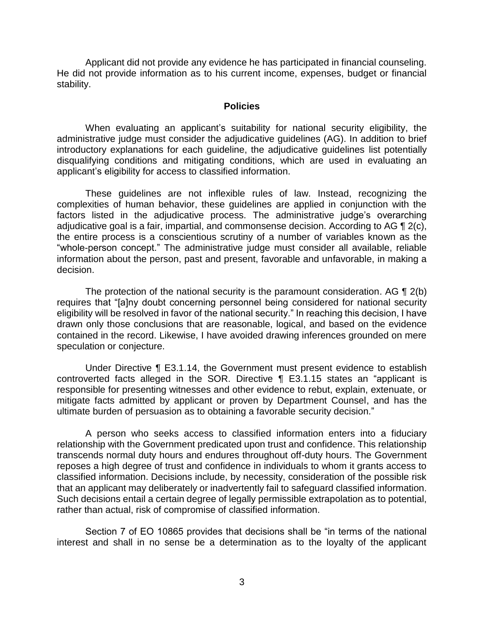Applicant did not provide any evidence he has participated in financial counseling. He did not provide information as to his current income, expenses, budget or financial stability.

#### **Policies**

 administrative judge must consider the adjudicative guidelines (AG). In addition to brief introductory explanations for each guideline, the adjudicative guidelines list potentially disqualifying conditions and mitigating conditions, which are used in evaluating an When evaluating an applicant's suitability for national security eligibility, the applicant's eligibility for access to classified information.

 These guidelines are not inflexible rules of law. Instead, recognizing the complexities of human behavior, these guidelines are applied in conjunction with the factors listed in the adjudicative process. The administrative judge's overarching adjudicative goal is a fair, impartial, and commonsense decision. According to AG  $\P$  2(c), the entire process is a conscientious scrutiny of a number of variables known as the "whole-person concept." The administrative judge must consider all available, reliable information about the person, past and present, favorable and unfavorable, in making a decision.

The protection of the national security is the paramount consideration. AG  $\P$  2(b) eligibility will be resolved in favor of the national security." In reaching this decision, I have drawn only those conclusions that are reasonable, logical, and based on the evidence contained in the record. Likewise, I have avoided drawing inferences grounded on mere requires that "[a]ny doubt concerning personnel being considered for national security speculation or conjecture.

 Under Directive ¶ E3.1.14, the Government must present evidence to establish controverted facts alleged in the SOR. Directive ¶ E3.1.15 states an "applicant is responsible for presenting witnesses and other evidence to rebut, explain, extenuate, or mitigate facts admitted by applicant or proven by Department Counsel, and has the ultimate burden of persuasion as to obtaining a favorable security decision."

 A person who seeks access to classified information enters into a fiduciary relationship with the Government predicated upon trust and confidence. This relationship transcends normal duty hours and endures throughout off-duty hours. The Government reposes a high degree of trust and confidence in individuals to whom it grants access to classified information. Decisions include, by necessity, consideration of the possible risk that an applicant may deliberately or inadvertently fail to safeguard classified information. Such decisions entail a certain degree of legally permissible extrapolation as to potential, rather than actual, risk of compromise of classified information.

 Section 7 of EO 10865 provides that decisions shall be "in terms of the national interest and shall in no sense be a determination as to the loyalty of the applicant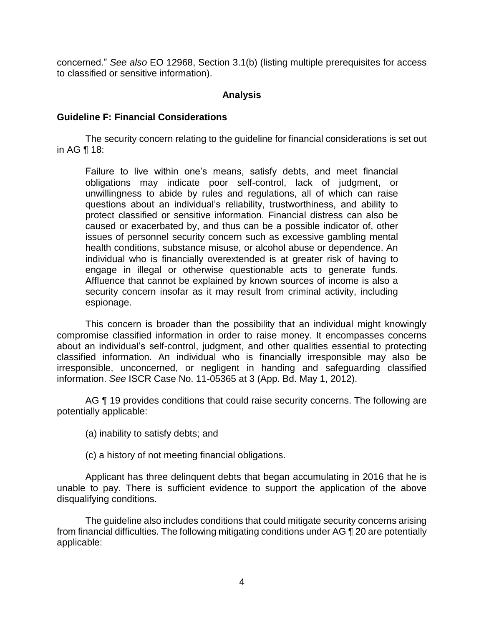concerned." *See also* EO 12968, Section 3.1(b) (listing multiple prerequisites for access to classified or sensitive information).

### **Analysis**

#### **Guideline F: Financial Considerations**

 The security concern relating to the guideline for financial considerations is set out in AG ¶ 18:

Failure to live within one's means, satisfy debts, and meet financial obligations may indicate poor self-control, lack of judgment, or unwillingness to abide by rules and regulations, all of which can raise questions about an individual's reliability, trustworthiness, and ability to protect classified or sensitive information. Financial distress can also be caused or exacerbated by, and thus can be a possible indicator of, other issues of personnel security concern such as excessive gambling mental health conditions, substance misuse, or alcohol abuse or dependence. An individual who is financially overextended is at greater risk of having to engage in illegal or otherwise questionable acts to generate funds. Affluence that cannot be explained by known sources of income is also a security concern insofar as it may result from criminal activity, including espionage.

 This concern is broader than the possibility that an individual might knowingly compromise classified information in order to raise money. It encompasses concerns about an individual's self-control, judgment, and other qualities essential to protecting classified information. An individual who is financially irresponsible may also be irresponsible, unconcerned, or negligent in handing and safeguarding classified information. *See* ISCR Case No. 11-05365 at 3 (App. Bd. May 1, 2012).

AG ¶ 19 provides conditions that could raise security concerns. The following are potentially applicable:

- (a) inability to satisfy debts; and
- (c) a history of not meeting financial obligations.

 Applicant has three delinquent debts that began accumulating in 2016 that he is unable to pay. There is sufficient evidence to support the application of the above disqualifying conditions.

 The guideline also includes conditions that could mitigate security concerns arising from financial difficulties. The following mitigating conditions under AG ¶ 20 are potentially applicable: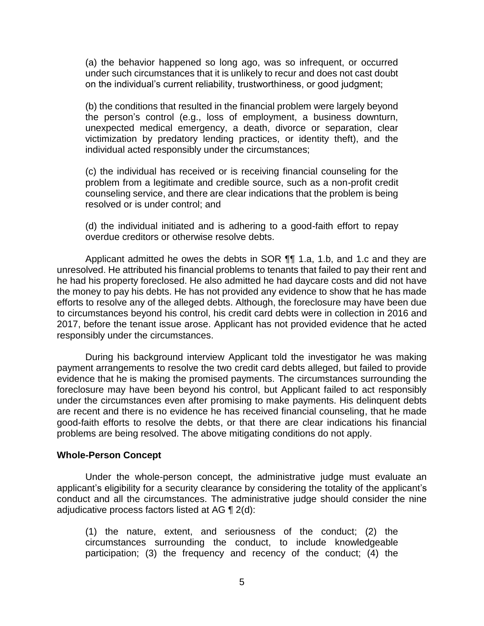(a) the behavior happened so long ago, was so infrequent, or occurred under such circumstances that it is unlikely to recur and does not cast doubt on the individual's current reliability, trustworthiness, or good judgment;

(b) the conditions that resulted in the financial problem were largely beyond the person's control (e.g., loss of employment, a business downturn, unexpected medical emergency, a death, divorce or separation, clear victimization by predatory lending practices, or identity theft), and the individual acted responsibly under the circumstances;

(c) the individual has received or is receiving financial counseling for the problem from a legitimate and credible source, such as a non-profit credit counseling service, and there are clear indications that the problem is being resolved or is under control; and

(d) the individual initiated and is adhering to a good-faith effort to repay overdue creditors or otherwise resolve debts.

Applicant admitted he owes the debts in SOR  $\P\P$  1.a, 1.b, and 1.c and they are unresolved. He attributed his financial problems to tenants that failed to pay their rent and the money to pay his debts. He has not provided any evidence to show that he has made efforts to resolve any of the alleged debts. Although, the foreclosure may have been due to circumstances beyond his control, his credit card debts were in collection in 2016 and 2017, before the tenant issue arose. Applicant has not provided evidence that he acted he had his property foreclosed. He also admitted he had daycare costs and did not have responsibly under the circumstances.

 During his background interview Applicant told the investigator he was making payment arrangements to resolve the two credit card debts alleged, but failed to provide evidence that he is making the promised payments. The circumstances surrounding the foreclosure may have been beyond his control, but Applicant failed to act responsibly under the circumstances even after promising to make payments. His delinquent debts are recent and there is no evidence he has received financial counseling, that he made good-faith efforts to resolve the debts, or that there are clear indications his financial problems are being resolved. The above mitigating conditions do not apply.

#### **Whole-Person Concept**

 Under the whole-person concept, the administrative judge must evaluate an applicant's eligibility for a security clearance by considering the totality of the applicant's conduct and all the circumstances. The administrative judge should consider the nine adjudicative process factors listed at AG  $\P$  2(d):

 (1) the nature, extent, and seriousness of the conduct; (2) the circumstances surrounding the conduct, to include knowledgeable participation; (3) the frequency and recency of the conduct; (4) the